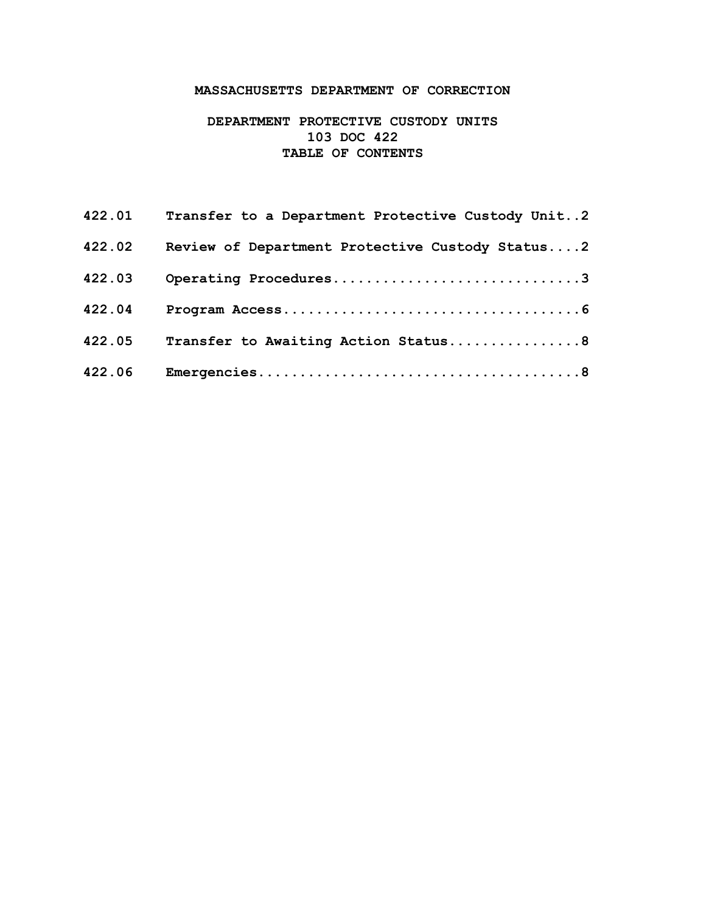# **MASSACHUSETTS DEPARTMENT OF CORRECTION**

# **DEPARTMENT PROTECTIVE CUSTODY UNITS 103 DOC 422 TABLE OF CONTENTS**

|        | 422.01 Transfer to a Department Protective Custody Unit2 |
|--------|----------------------------------------------------------|
| 422.02 | Review of Department Protective Custody Status2          |
| 422.03 | Operating Procedures3                                    |
| 422.04 |                                                          |
| 422.05 | Transfer to Awaiting Action Status8                      |
| 422.06 |                                                          |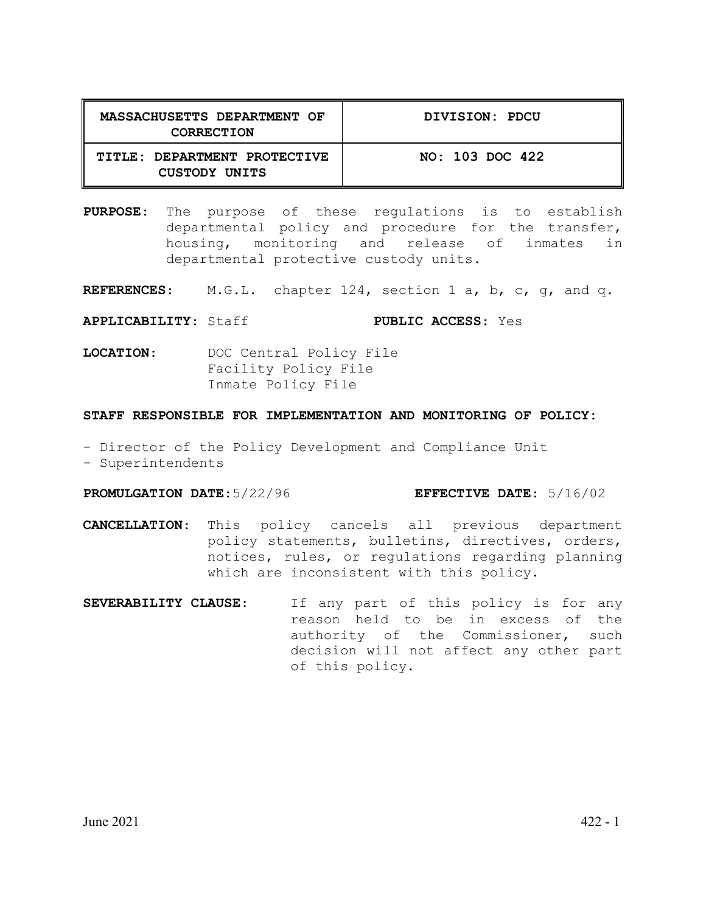| MASSACHUSETTS DEPARTMENT OF<br>CORRECTION     | DIVISION: PDCU  |
|-----------------------------------------------|-----------------|
| TITLE: DEPARTMENT PROTECTIVE<br>CUSTODY UNITS | NO: 103 DOC 422 |

**PURPOSE**: The purpose of these regulations is to establish departmental policy and procedure for the transfer, housing, monitoring and release of inmates in departmental protective custody units.

**REFERENCES**: M.G.L. chapter 124, section 1 a, b, c, g, and q.

**APPLICABILITY**: Staff **PUBLIC ACCESS**: Yes

**LOCATION**: DOC Central Policy File Facility Policy File Inmate Policy File

#### **STAFF RESPONSIBLE FOR IMPLEMENTATION AND MONITORING OF POLICY:**

- Director of the Policy Development and Compliance Unit
- Superintendents

### **PROMULGATION DATE**:5/22/96 **EFFECTIVE DATE**: 5/16/02

- **CANCELLATION**: This policy cancels all previous department policy statements, bulletins, directives, orders, notices, rules, or regulations regarding planning which are inconsistent with this policy.
- **SEVERABILITY CLAUSE**: If any part of this policy is for any reason held to be in excess of the authority of the Commissioner, such decision will not affect any other part of this policy.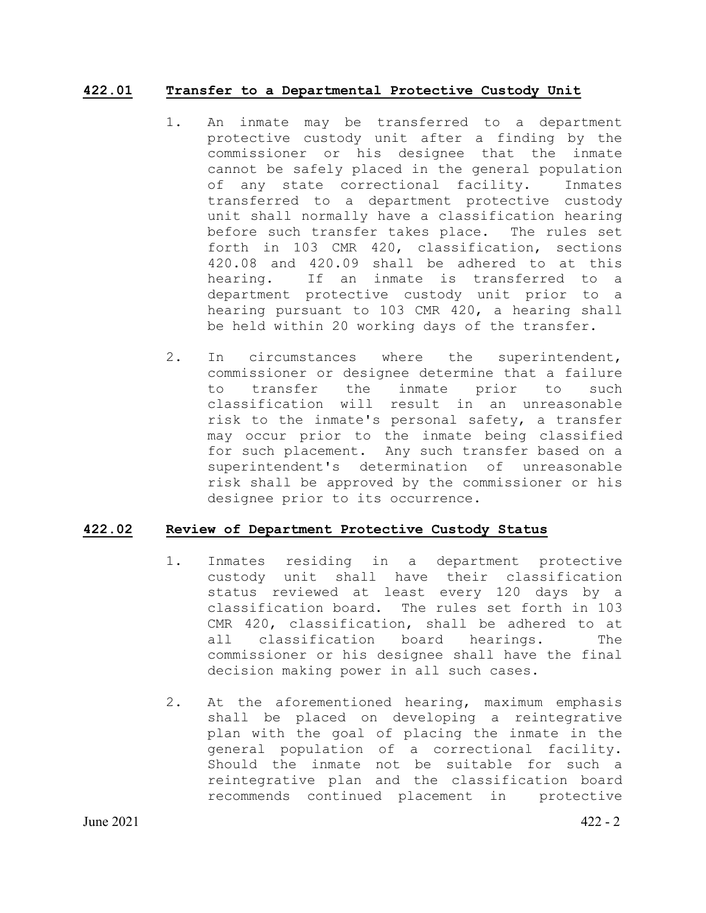## **422.01 Transfer to a Departmental Protective Custody Unit**

- 1. An inmate may be transferred to a department protective custody unit after a finding by the commissioner or his designee that the inmate cannot be safely placed in the general population of any state correctional facility. Inmates transferred to a department protective custody unit shall normally have a classification hearing before such transfer takes place. The rules set forth in 103 CMR 420, classification, sections 420.08 and 420.09 shall be adhered to at this<br>hearing. If an inmate is transferred to a If an inmate is transferred to a department protective custody unit prior to a hearing pursuant to 103 CMR 420, a hearing shall be held within 20 working days of the transfer.
- 2. In circumstances where the superintendent, commissioner or designee determine that a failure<br>to transfer the inmate prior to such to transfer the inmate prior to such classification will result in an unreasonable risk to the inmate's personal safety, a transfer may occur prior to the inmate being classified for such placement. Any such transfer based on a superintendent's determination of unreasonable risk shall be approved by the commissioner or his designee prior to its occurrence.

# **422.02 Review of Department Protective Custody Status**

- 1. Inmates residing in a department protective custody unit shall have their classification status reviewed at least every 120 days by a classification board. The rules set forth in 103 CMR 420, classification, shall be adhered to at<br>all classification board hearings. The classification board hearings. commissioner or his designee shall have the final decision making power in all such cases.
- 2. At the aforementioned hearing, maximum emphasis shall be placed on developing a reintegrative plan with the goal of placing the inmate in the general population of a correctional facility. Should the inmate not be suitable for such a reintegrative plan and the classification board recommends continued placement in protective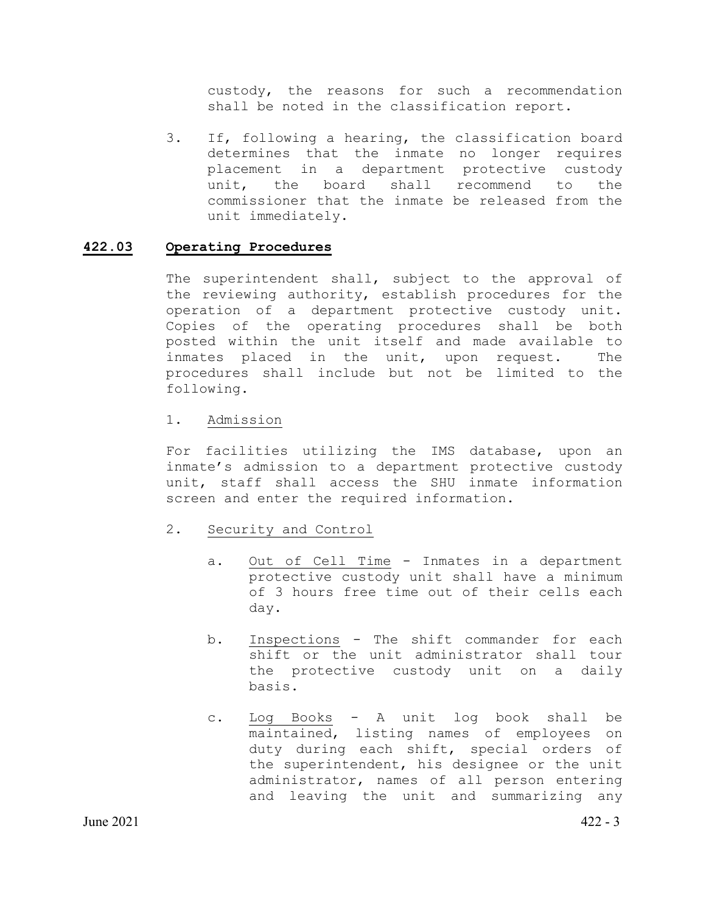custody, the reasons for such a recommendation shall be noted in the classification report.

3. If, following a hearing, the classification board determines that the inmate no longer requires placement in a department protective custody unit, the board shall recommend to the commissioner that the inmate be released from the unit immediately.

## **422.03 Operating Procedures**

The superintendent shall, subject to the approval of the reviewing authority, establish procedures for the operation of a department protective custody unit. Copies of the operating procedures shall be both posted within the unit itself and made available to inmates placed in the unit, upon request. The procedures shall include but not be limited to the following.

### 1. Admission

For facilities utilizing the IMS database, upon an inmate's admission to a department protective custody unit, staff shall access the SHU inmate information screen and enter the required information.

# 2. Security and Control

- a. Out of Cell Time Inmates in a department protective custody unit shall have a minimum of 3 hours free time out of their cells each day.
- b. Inspections The shift commander for each shift or the unit administrator shall tour the protective custody unit on a daily basis.
- c. Log Books A unit log book shall be maintained, listing names of employees on duty during each shift, special orders of the superintendent, his designee or the unit administrator, names of all person entering and leaving the unit and summarizing any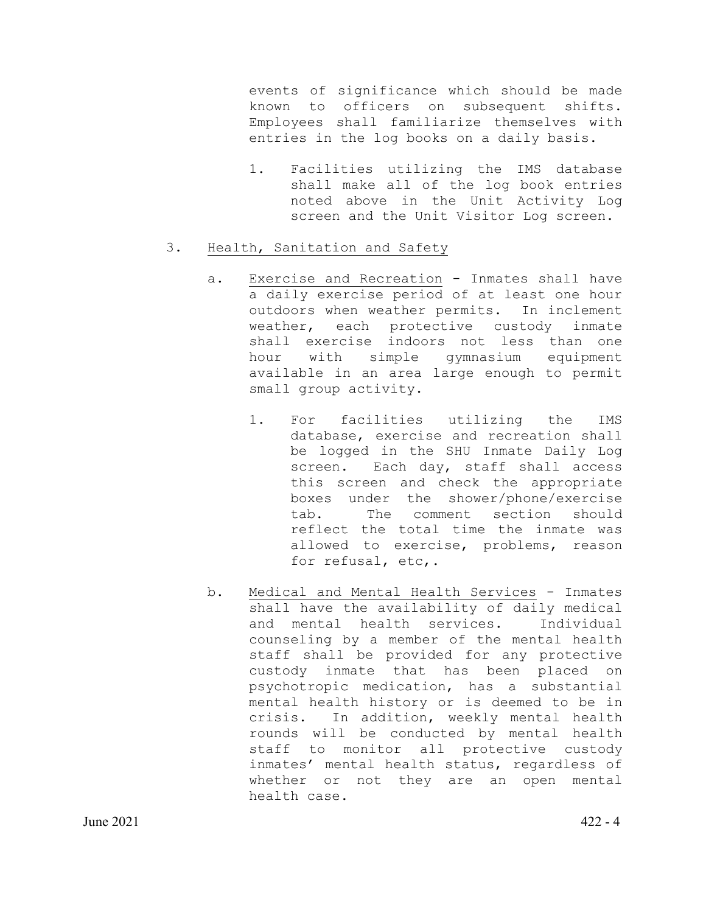events of significance which should be made known to officers on subsequent shifts. Employees shall familiarize themselves with entries in the log books on a daily basis.

1. Facilities utilizing the IMS database shall make all of the log book entries noted above in the Unit Activity Log screen and the Unit Visitor Log screen.

## 3. Health, Sanitation and Safety

- a. Exercise and Recreation Inmates shall have a daily exercise period of at least one hour outdoors when weather permits. In inclement weather, each protective custody inmate shall exercise indoors not less than one<br>hour with simple gymnasium equipment hour with simple available in an area large enough to permit small group activity.
	- 1. For facilities utilizing the IMS database, exercise and recreation shall be logged in the SHU Inmate Daily Log screen. Each day, staff shall access this screen and check the appropriate boxes under the shower/phone/exercise<br>tab. The comment section should The comment section should reflect the total time the inmate was allowed to exercise, problems, reason for refusal, etc,.
- b. Medical and Mental Health Services Inmates shall have the availability of daily medical and mental health services. Individual counseling by a member of the mental health staff shall be provided for any protective custody inmate that has been placed on psychotropic medication, has a substantial mental health history or is deemed to be in<br>crisis. In addition, weekly mental health In addition, weekly mental health rounds will be conducted by mental health staff to monitor all protective custody inmates' mental health status, regardless of whether or not they are an open mental health case.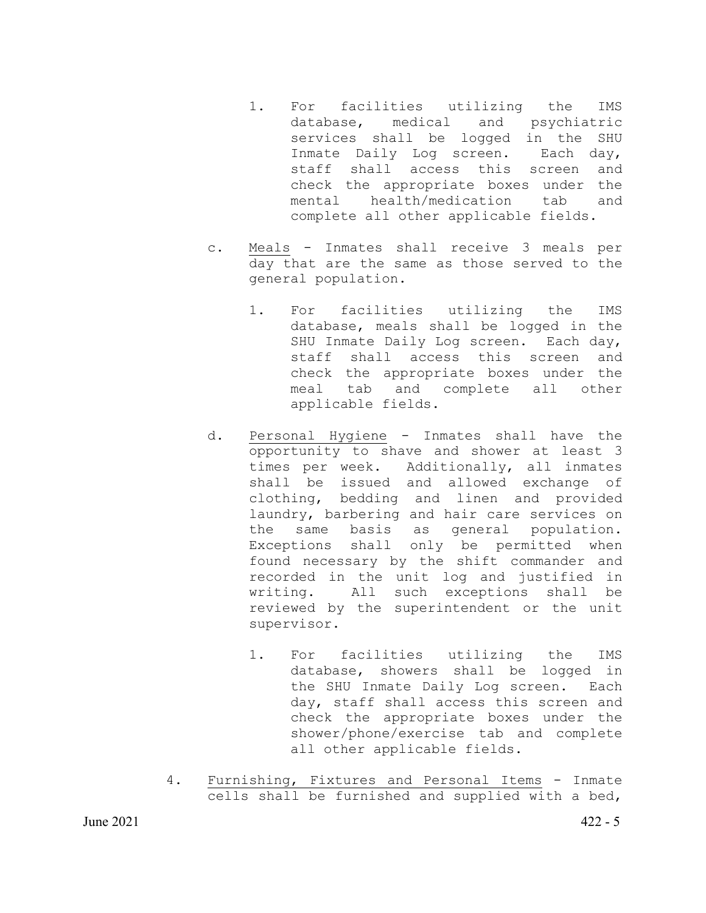- 1. For facilities utilizing the IMS<br>database, medical and psychiatric database, medical and services shall be logged in the SHU Inmate Daily Log screen. Each day, staff shall access this screen and check the appropriate boxes under the mental health/medication tab and complete all other applicable fields.
- c. Meals Inmates shall receive 3 meals per day that are the same as those served to the general population.
	- 1. For facilities utilizing the IMS database, meals shall be logged in the SHU Inmate Daily Log screen. Each day, staff shall access this screen and check the appropriate boxes under the meal tab and complete all other applicable fields.
- d. Personal Hygiene Inmates shall have the opportunity to shave and shower at least 3 times per week. Additionally, all inmates shall be issued and allowed exchange of clothing, bedding and linen and provided laundry, barbering and hair care services on the same basis as general population. Exceptions shall only be permitted when found necessary by the shift commander and recorded in the unit log and justified in writing. All such exceptions shall be reviewed by the superintendent or the unit supervisor.
	- 1. For facilities utilizing the IMS database, showers shall be logged in the SHU Inmate Daily Log screen. Each day, staff shall access this screen and check the appropriate boxes under the shower/phone/exercise tab and complete all other applicable fields.
- 4. Furnishing, Fixtures and Personal Items Inmate cells shall be furnished and supplied with a bed,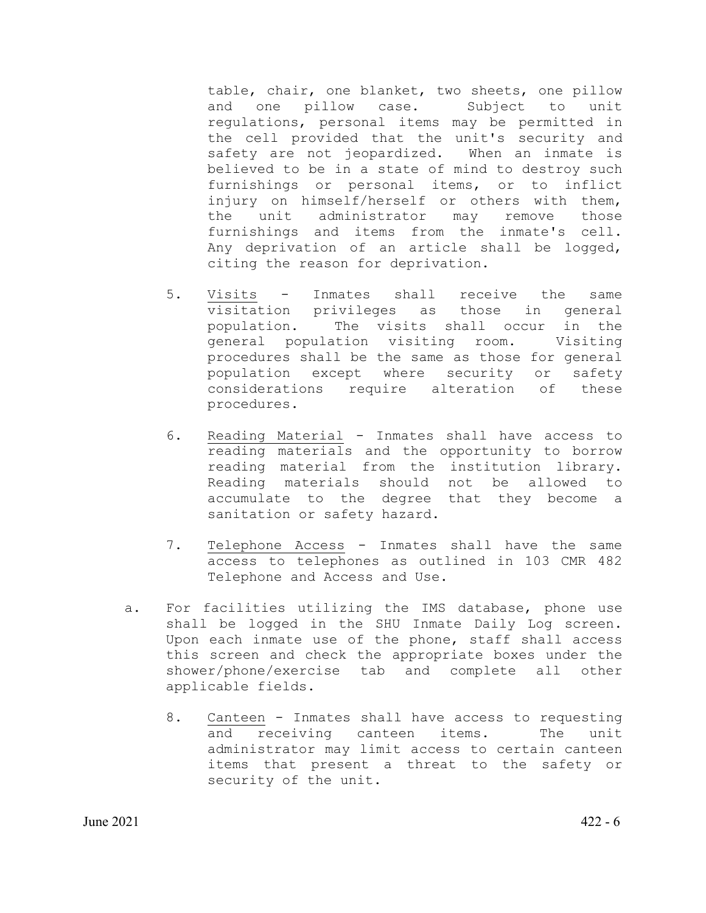table, chair, one blanket, two sheets, one pillow and one pillow case. Subject to unit regulations, personal items may be permitted in the cell provided that the unit's security and safety are not jeopardized. When an inmate is believed to be in a state of mind to destroy such furnishings or personal items, or to inflict injury on himself/herself or others with them, the unit administrator may remove those furnishings and items from the inmate's cell. Any deprivation of an article shall be logged, citing the reason for deprivation.

- 5. Visits Inmates shall receive the same visitation privileges as those in general population. The visits shall occur in the<br>general population visiting room. Visiting general population visiting room. procedures shall be the same as those for general population except where security or safety considerations require alteration of these procedures.
- 6. Reading Material Inmates shall have access to reading materials and the opportunity to borrow reading material from the institution library. Reading materials should not be allowed to accumulate to the degree that they become a sanitation or safety hazard.
- 7. Telephone Access Inmates shall have the same access to telephones as outlined in 103 CMR 482 Telephone and Access and Use.
- a. For facilities utilizing the IMS database, phone use shall be logged in the SHU Inmate Daily Log screen. Upon each inmate use of the phone, staff shall access this screen and check the appropriate boxes under the shower/phone/exercise tab and complete all other applicable fields.
	- 8. Canteen Inmates shall have access to requesting and receiving canteen items. The unit administrator may limit access to certain canteen items that present a threat to the safety or security of the unit.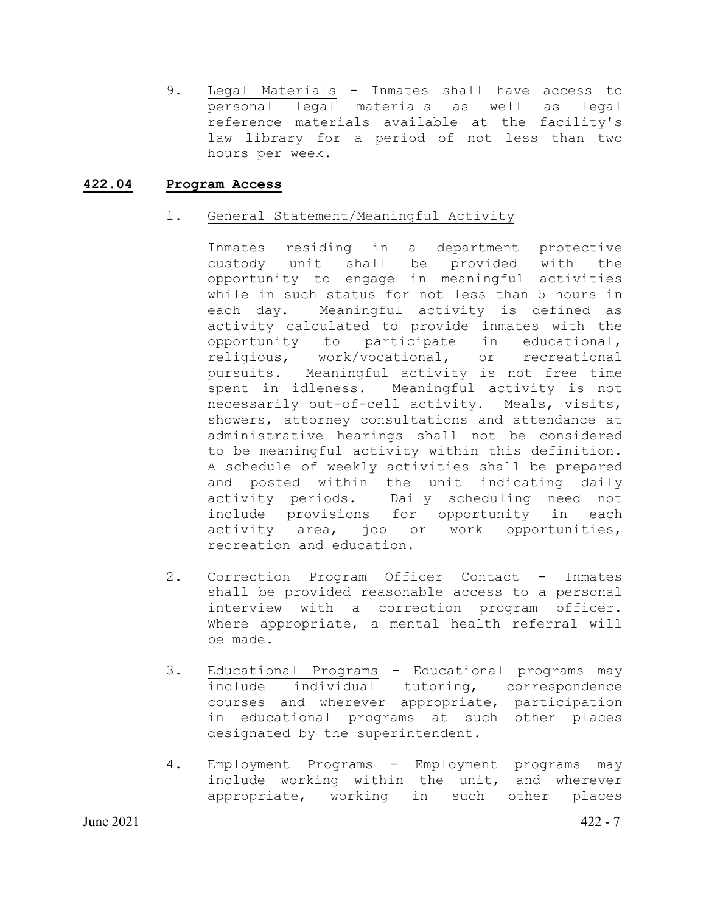9. Legal Materials - Inmates shall have access to personal legal materials as well as legal reference materials available at the facility's law library for a period of not less than two hours per week.

## **422.04 Program Access**

## 1. General Statement/Meaningful Activity

Inmates residing in a department protective custody unit shall be provided with the opportunity to engage in meaningful activities while in such status for not less than 5 hours in<br>each day. Meaningful activity is defined as Meaningful activity is defined as activity calculated to provide inmates with the opportunity to participate in educational, religious, work/vocational, or recreational pursuits. Meaningful activity is not free time spent in idleness. Meaningful activity is not necessarily out-of-cell activity. Meals, visits, showers, attorney consultations and attendance at administrative hearings shall not be considered to be meaningful activity within this definition. A schedule of weekly activities shall be prepared and posted within the unit indicating daily activity periods. Daily scheduling need not include provisions for opportunity in each activity area, job or work opportunities, recreation and education.

- 2. Correction Program Officer Contact Inmates shall be provided reasonable access to a personal interview with a correction program officer. Where appropriate, a mental health referral will be made.
- 3. Educational Programs Educational programs may include individual tutoring, correspondence courses and wherever appropriate, participation in educational programs at such other places designated by the superintendent.
- 4. Employment Programs Employment programs may include working within the unit, and wherever appropriate, working in such other places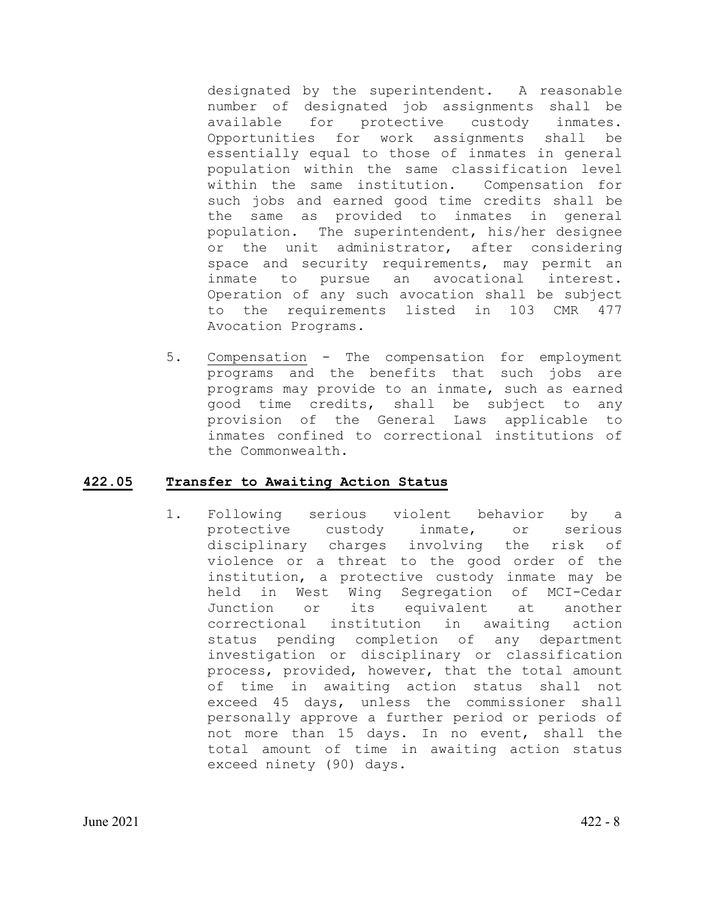designated by the superintendent. A reasonable number of designated job assignments shall be<br>available for protective custody inmates. for protective custody inmates. Opportunities for work assignments shall be essentially equal to those of inmates in general population within the same classification level within the same institution. Compensation for such jobs and earned good time credits shall be the same as provided to inmates in general population. The superintendent, his/her designee or the unit administrator, after considering space and security requirements, may permit an inmate to pursue an avocational interest. Operation of any such avocation shall be subject to the requirements listed in 103 CMR 477 Avocation Programs.

5. Compensation - The compensation for employment programs and the benefits that such jobs are programs may provide to an inmate, such as earned good time credits, shall be subject to any provision of the General Laws applicable to inmates confined to correctional institutions of the Commonwealth.

# **422.05 Transfer to Awaiting Action Status**

1. Following serious violent behavior by a protective custody inmate, or serious disciplinary charges involving the risk of violence or a threat to the good order of the institution, a protective custody inmate may be held in West Wing Segregation of MCI-Cedar<br>Junction or its equivalent at another equivalent at a<br>ion in awaiting correctional institution in awaiting action status pending completion of any department investigation or disciplinary or classification process, provided, however, that the total amount of time in awaiting action status shall not exceed 45 days, unless the commissioner shall personally approve a further period or periods of not more than 15 days. In no event, shall the total amount of time in awaiting action status exceed ninety (90) days.